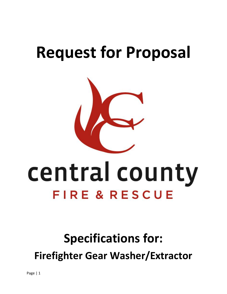## **Request for Proposal**



# central county FIRE & RESCUE

### **Specifications for: Firefighter Gear Washer/Extractor**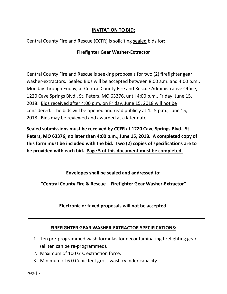#### **INVITATION TO BID:**

Central County Fire and Rescue (CCFR) is soliciting sealed bids for:

#### **Firefighter Gear Washer-Extractor**

Central County Fire and Rescue is seeking proposals for two (2) firefighter gear washer-extractors. Sealed Bids will be accepted between 8:00 a.m. and 4:00 p.m., Monday through Friday, at Central County Fire and Rescue Administrative Office, 1220 Cave Springs Blvd., St. Peters, MO 63376, until 4:00 p.m., Friday, June 15, 2018. Bids received after 4:00 p.m. on Friday, June 15, 2018 will not be considered. The bids will be opened and read publicly at 4:15 p.m., June 15, 2018. Bids may be reviewed and awarded at a later date.

**Sealed submissions must be received by CCFR at 1220 Cave Springs Blvd., St. Peters, MO 63376, no later than 4:00 p.m., June 15, 2018. A completed copy of this form must be included with the bid. Two (2) copies of specifications are to be provided with each bid. Page 5 of this document must be completed.**

**Envelopes shall be sealed and addressed to:**

**"Central County Fire & Rescue – Firefighter Gear Washer-Extractor"**

**Electronic or faxed proposals will not be accepted.**

#### **FIREFIGHTER GEAR WASHER-EXTRACTOR SPECIFICATIONS:**

- 1. Ten pre-programmed wash formulas for decontaminating firefighting gear (all ten can be re-programmed).
- 2. Maximum of 100 G's, extraction force.
- 3. Minimum of 6.0 Cubic feet gross wash cylinder capacity.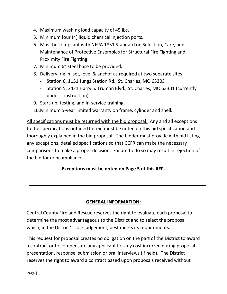- 4. Maximum washing load capacity of 45 lbs.
- 5. Minimum four (4) liquid chemical injection ports.
- 6. Must be compliant with NFPA 1851 Standard on Selection, Care, and Maintenance of Protective Ensembles for Structural Fire Fighting and Proximity Fire Fighting.
- 7. Minimum 6" steel base to be provided.
- 8. Delivery, rig in, set, level & anchor as required at two separate sites.
	- Station 6, 1151 Jungs Station Rd., St. Charles, MO 63303
	- Station 5, 3421 Harry S. Truman Blvd., St. Charles, MO 63301 (currently under construction)
- 9. Start-up, testing, and in-service training.

10.Minimum 5-year limited warranty on frame, cylinder and shell.

All specifications must be returned with the bid proposal. Any and all exceptions to the specifications outlined herein must be noted on this bid specification and thoroughly explained in the bid proposal. The bidder must provide with bid listing any exceptions, detailed specifications so that CCFR can make the necessary comparisons to make a proper decision. Failure to do so may result in rejection of the bid for noncompliance.

#### **Exceptions must be noted on Page 5 of this RFP.**

#### **GENERAL INFORMATION:**

Central County Fire and Rescue reserves the right to evaluate each proposal to determine the most advantageous to the District and to select the proposal which, in the District's sole judgement, best meets its requirements.

This request for proposal creates no obligation on the part of the District to award a contract or to compensate any applicant for any cost incurred during proposal presentation, response, submission or oral interviews (if held). The District reserves the right to award a contract based upon proposals received without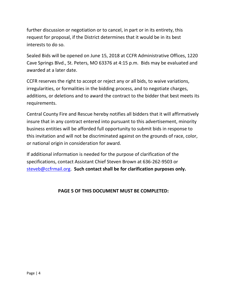further discussion or negotiation or to cancel, in part or in its entirety, this request for proposal, if the District determines that it would be in its best interests to do so.

Sealed Bids will be opened on June 15, 2018 at CCFR Administrative Offices, 1220 Cave Springs Blvd., St. Peters, MO 63376 at 4:15 p.m. Bids may be evaluated and awarded at a later date.

CCFR reserves the right to accept or reject any or all bids, to waive variations, irregularities, or formalities in the bidding process, and to negotiate charges, additions, or deletions and to award the contract to the bidder that best meets its requirements.

Central County Fire and Rescue hereby notifies all bidders that it will affirmatively insure that in any contract entered into pursuant to this advertisement, minority business entities will be afforded full opportunity to submit bids in response to this invitation and will not be discriminated against on the grounds of race, color, or national origin in consideration for award.

If additional information is needed for the purpose of clarification of the specifications, contact Assistant Chief Steven Brown at 636-262-9503 or [steveb@ccfrmail.org.](mailto:steveb@ccfrmail.org) **Such contact shall be for clarification purposes only.**

#### **PAGE 5 OF THIS DOCUMENT MUST BE COMPLETED:**